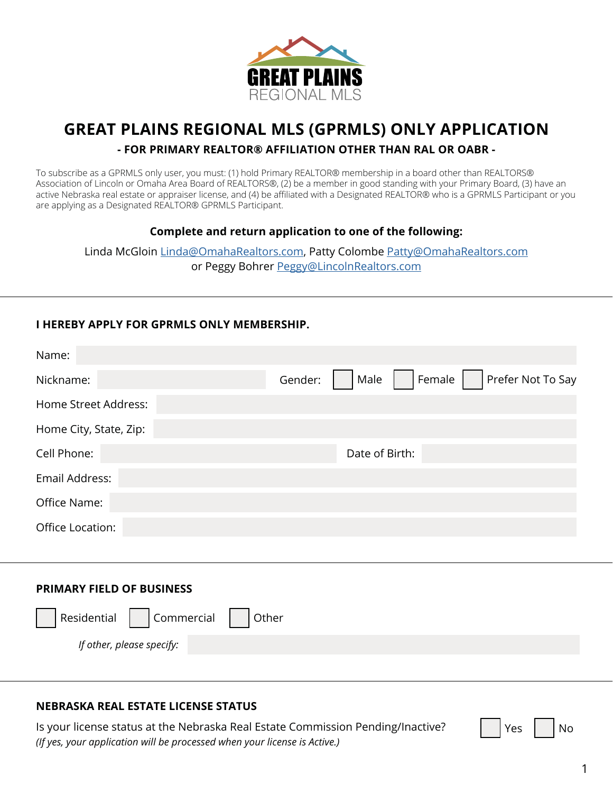

# **GREAT PLAINS REGIONAL MLS (GPRMLS) ONLY APPLICATION**

## **- FOR PRIMARY REALTOR® AFFILIATION OTHER THAN RAL OR OABR -**

To subscribe as a GPRMLS only user, you must: (1) hold Primary REALTOR® membership in a board other than REALTORS® Association of Lincoln or Omaha Area Board of REALTORS®, (2) be a member in good standing with your Primary Board, (3) have an active Nebraska real estate or appraiser license, and (4) be affiliated with a Designated REALTOR® who is a GPRMLS Participant or you are applying as a Designated REALTOR® GPRMLS Participant.

#### **Complete and return application to one of the following:**

Linda McGloin [Linda@OmahaRealtors.com](mailto:linda@omaharealtors.com), Patty Colombe [Patty@OmahaRealtors.com](mailto:patty@omaharealtors.com) or Peggy Bohrer [Peggy@LincolnRealtors.com](mailto:peggy@lincolnrealtors.com)

# **I HEREBY APPLY FOR GPRMLS ONLY MEMBERSHIP.**

| Prefer Not To Say<br>Gender:<br>Female<br>Male |
|------------------------------------------------|
|                                                |
|                                                |
| Date of Birth:                                 |
|                                                |
|                                                |
|                                                |
|                                                |

#### **PRIMARY FIELD OF BUSINESS**

| Residential   Commercial   Other |  |
|----------------------------------|--|
| If other, please specify:        |  |

## **NEBRASKA REAL ESTATE LICENSE STATUS**

Is your license status at the Nebraska Real Estate Commission Pending/Inactive? *(If yes, your application will be processed when your license is Active.)*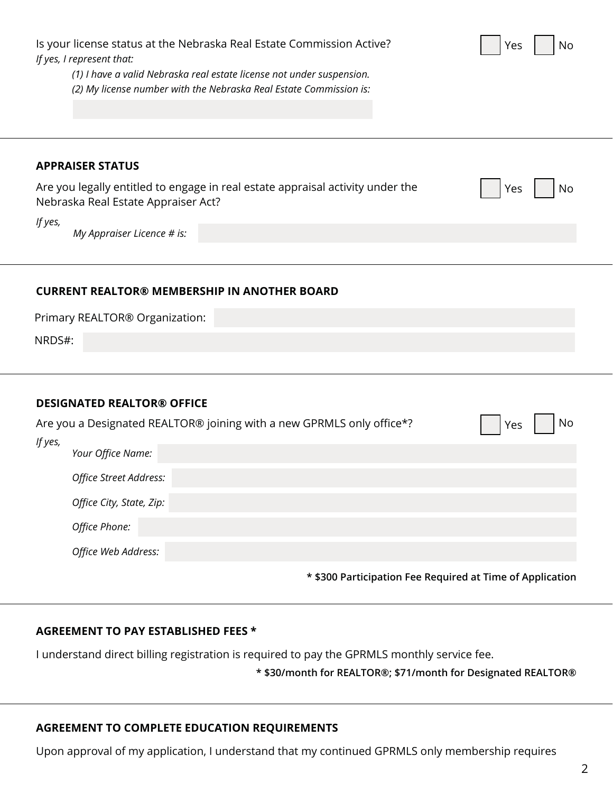| Is your license status at the Nebraska Real Estate Commission Active?<br>No<br>Yes<br>If yes, I represent that:<br>(1) I have a valid Nebraska real estate license not under suspension.<br>(2) My license number with the Nebraska Real Estate Commission is:                                                     |  |
|--------------------------------------------------------------------------------------------------------------------------------------------------------------------------------------------------------------------------------------------------------------------------------------------------------------------|--|
| <b>APPRAISER STATUS</b><br>Are you legally entitled to engage in real estate appraisal activity under the<br>Yes<br>No<br>Nebraska Real Estate Appraiser Act?<br>If yes,<br>My Appraiser Licence # is:                                                                                                             |  |
| <b>CURRENT REALTOR® MEMBERSHIP IN ANOTHER BOARD</b><br>Primary REALTOR® Organization:<br>NRDS#:                                                                                                                                                                                                                    |  |
| <b>DESIGNATED REALTOR® OFFICE</b><br>Are you a Designated REALTOR® joining with a new GPRMLS only office*?<br>No<br>Yes<br>If yes,<br>Your Office Name:<br>Office Street Address:<br>Office City, State, Zip:<br>Office Phone:<br>Office Web Address:<br>* \$300 Participation Fee Required at Time of Application |  |

# **AGREEMENT TO PAY ESTABLISHED FEES \***

I understand direct billing registration is required to pay the GPRMLS monthly service fee.

**\* \$30/month for REALTOR®; \$71/month for Designated REALTOR®**

# **AGREEMENT TO COMPLETE EDUCATION REQUIREMENTS**

Upon approval of my application, I understand that my continued GPRMLS only membership requires